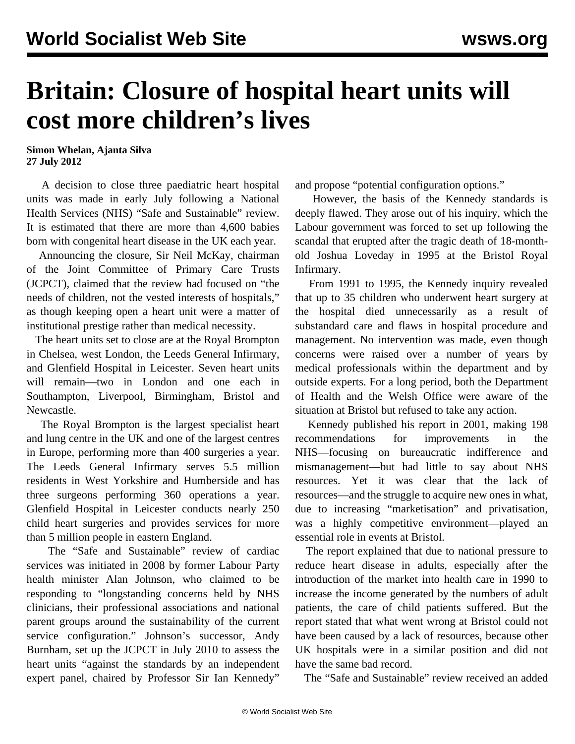## **Britain: Closure of hospital heart units will cost more children's lives**

**Simon Whelan, Ajanta Silva 27 July 2012**

 A decision to close three paediatric heart hospital units was made in early July following a National Health Services (NHS) "Safe and Sustainable" review. It is estimated that there are more than 4,600 babies born with congenital heart disease in the UK each year.

 Announcing the closure, Sir Neil McKay, chairman of the Joint Committee of Primary Care Trusts (JCPCT), claimed that the review had focused on "the needs of children, not the vested interests of hospitals," as though keeping open a heart unit were a matter of institutional prestige rather than medical necessity.

 The heart units set to close are at the Royal Brompton in Chelsea, west London, the Leeds General Infirmary, and Glenfield Hospital in Leicester. Seven heart units will remain—two in London and one each in Southampton, Liverpool, Birmingham, Bristol and Newcastle.

 The Royal Brompton is the largest specialist heart and lung centre in the UK and one of the largest centres in Europe, performing more than 400 surgeries a year. The Leeds General Infirmary serves 5.5 million residents in West Yorkshire and Humberside and has three surgeons performing 360 operations a year. Glenfield Hospital in Leicester conducts nearly 250 child heart surgeries and provides services for more than 5 million people in eastern England.

 The "Safe and Sustainable" review of cardiac services was initiated in 2008 by former Labour Party health minister Alan Johnson, who claimed to be responding to "longstanding concerns held by NHS clinicians, their professional associations and national parent groups around the sustainability of the current service configuration." Johnson's successor, Andy Burnham, set up the JCPCT in July 2010 to assess the heart units "against the standards by an independent expert panel, chaired by Professor Sir Ian Kennedy"

and propose "potential configuration options."

 However, the basis of the Kennedy standards is deeply flawed. They arose out of his inquiry, which the Labour government was forced to set up following the scandal that erupted after the tragic death of 18-monthold Joshua Loveday in 1995 at the Bristol Royal Infirmary.

 From 1991 to 1995, the Kennedy inquiry revealed that up to 35 children who underwent heart surgery at the hospital died unnecessarily as a result of substandard care and flaws in hospital procedure and management. No intervention was made, even though concerns were raised over a number of years by medical professionals within the department and by outside experts. For a long period, both the Department of Health and the Welsh Office were aware of the situation at Bristol but refused to take any action.

 Kennedy published his report in 2001, making 198 recommendations for improvements in the NHS—focusing on bureaucratic indifference and mismanagement—but had little to say about NHS resources. Yet it was clear that the lack of resources—and the struggle to acquire new ones in what, due to increasing "marketisation" and privatisation, was a highly competitive environment—played an essential role in events at Bristol.

 The report explained that due to national pressure to reduce heart disease in adults, especially after the introduction of the market into health care in 1990 to increase the income generated by the numbers of adult patients, the care of child patients suffered. But the report stated that what went wrong at Bristol could not have been caused by a lack of resources, because other UK hospitals were in a similar position and did not have the same bad record.

The "Safe and Sustainable" review received an added